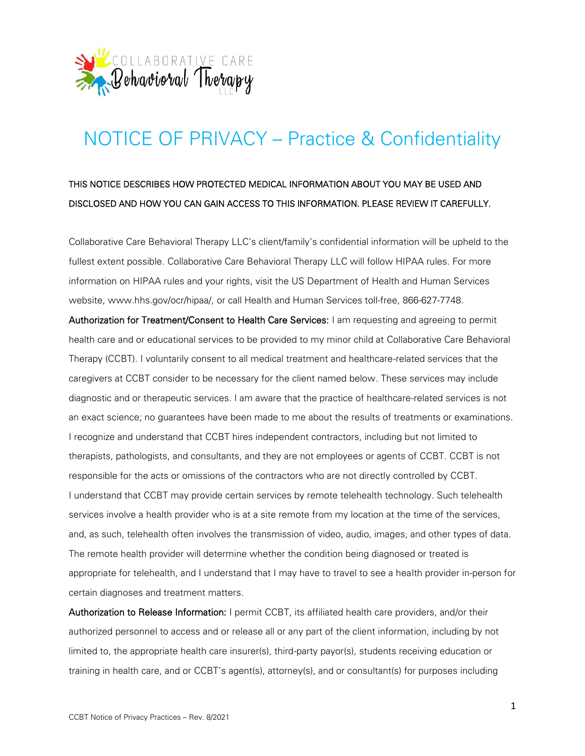

## NOTICE OF PRIVACY – Practice & Confidentiality

## THIS NOTICE DESCRIBES HOW PROTECTED MEDICAL INFORMATION ABOUT YOU MAY BE USED AND DISCLOSED AND HOW YOU CAN GAIN ACCESS TO THIS INFORMATION. PLEASE REVIEW IT CAREFULLY.

Collaborative Care Behavioral Therapy LLC's client/family's confidential information will be upheld to the fullest extent possible. Collaborative Care Behavioral Therapy LLC will follow HIPAA rules. For more information on HIPAA rules and your rights, visit the US Department of Health and Human Services website, www.hhs.gov/ocr/hipaa/, or call Health and Human Services toll-free, 866-627-7748.

Authorization for Treatment/Consent to Health Care Services: I am requesting and agreeing to permit health care and or educational services to be provided to my minor child at Collaborative Care Behavioral Therapy (CCBT). I voluntarily consent to all medical treatment and healthcare-related services that the caregivers at CCBT consider to be necessary for the client named below. These services may include diagnostic and or therapeutic services. I am aware that the practice of healthcare-related services is not an exact science; no guarantees have been made to me about the results of treatments or examinations. I recognize and understand that CCBT hires independent contractors, including but not limited to therapists, pathologists, and consultants, and they are not employees or agents of CCBT. CCBT is not responsible for the acts or omissions of the contractors who are not directly controlled by CCBT. I understand that CCBT may provide certain services by remote telehealth technology. Such telehealth services involve a health provider who is at a site remote from my location at the time of the services, and, as such, telehealth often involves the transmission of video, audio, images, and other types of data. The remote health provider will determine whether the condition being diagnosed or treated is appropriate for telehealth, and I understand that I may have to travel to see a health provider in-person for certain diagnoses and treatment matters.

Authorization to Release Information: I permit CCBT, its affiliated health care providers, and/or their authorized personnel to access and or release all or any part of the client information, including by not limited to, the appropriate health care insurer(s), third-party payor(s), students receiving education or training in health care, and or CCBT's agent(s), attorney(s), and or consultant(s) for purposes including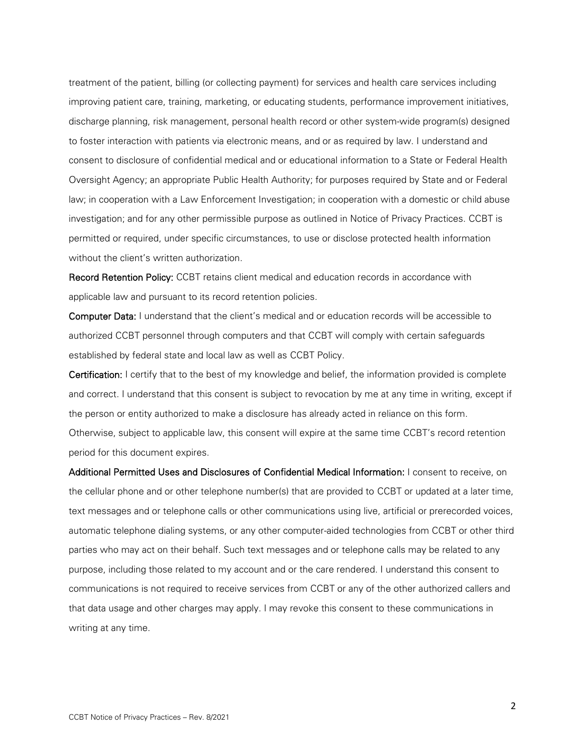treatment of the patient, billing (or collecting payment) for services and health care services including improving patient care, training, marketing, or educating students, performance improvement initiatives, discharge planning, risk management, personal health record or other system-wide program(s) designed to foster interaction with patients via electronic means, and or as required by law. I understand and consent to disclosure of confidential medical and or educational information to a State or Federal Health Oversight Agency; an appropriate Public Health Authority; for purposes required by State and or Federal law; in cooperation with a Law Enforcement Investigation; in cooperation with a domestic or child abuse investigation; and for any other permissible purpose as outlined in Notice of Privacy Practices. CCBT is permitted or required, under specific circumstances, to use or disclose protected health information without the client's written authorization.

Record Retention Policy: CCBT retains client medical and education records in accordance with applicable law and pursuant to its record retention policies.

Computer Data: I understand that the client's medical and or education records will be accessible to authorized CCBT personnel through computers and that CCBT will comply with certain safeguards established by federal state and local law as well as CCBT Policy.

Certification: I certify that to the best of my knowledge and belief, the information provided is complete and correct. I understand that this consent is subject to revocation by me at any time in writing, except if the person or entity authorized to make a disclosure has already acted in reliance on this form. Otherwise, subject to applicable law, this consent will expire at the same time CCBT's record retention period for this document expires.

Additional Permitted Uses and Disclosures of Confidential Medical Information: I consent to receive, on the cellular phone and or other telephone number(s) that are provided to CCBT or updated at a later time, text messages and or telephone calls or other communications using live, artificial or prerecorded voices, automatic telephone dialing systems, or any other computer-aided technologies from CCBT or other third parties who may act on their behalf. Such text messages and or telephone calls may be related to any purpose, including those related to my account and or the care rendered. I understand this consent to communications is not required to receive services from CCBT or any of the other authorized callers and that data usage and other charges may apply. I may revoke this consent to these communications in writing at any time.